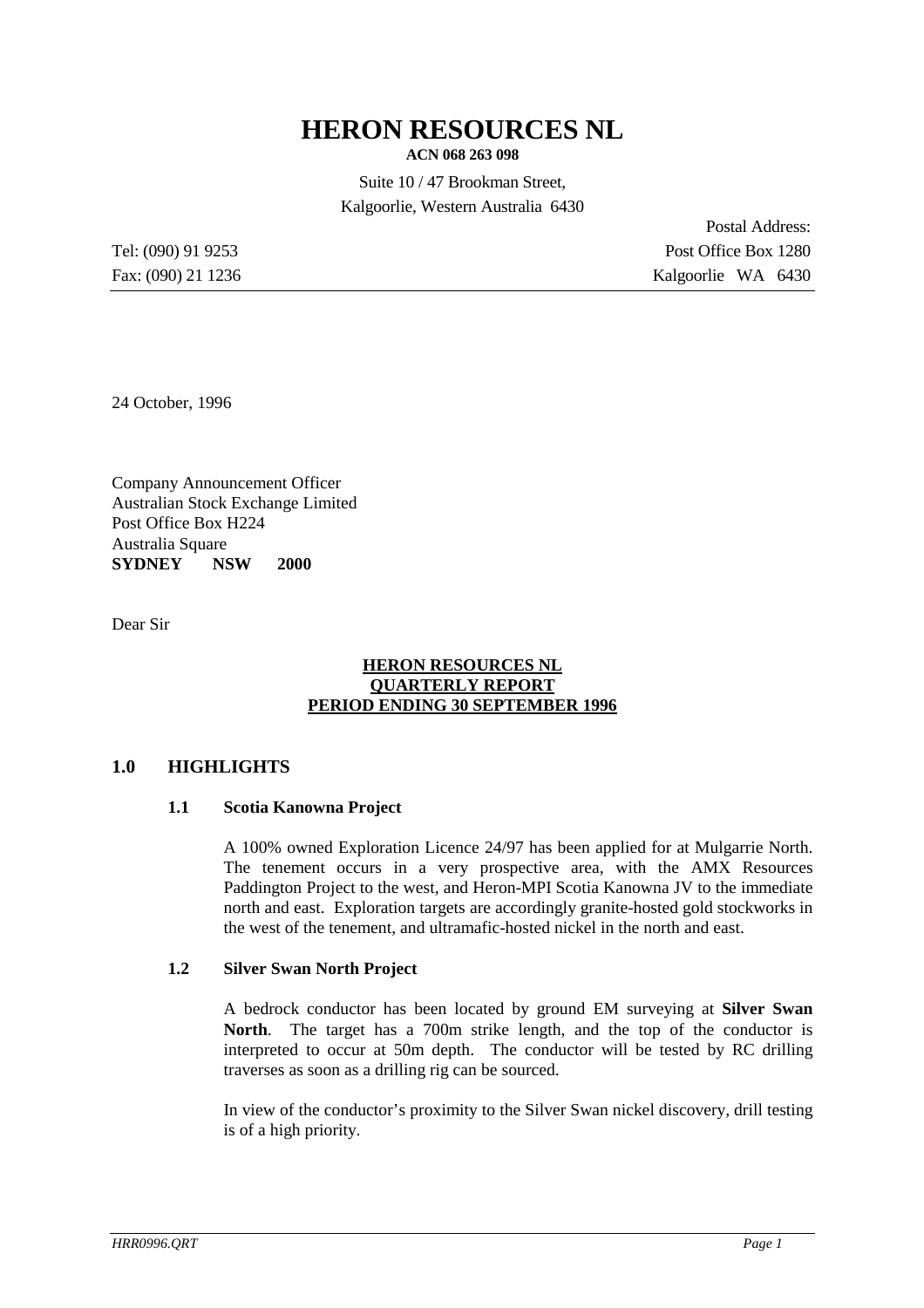# **HERON RESOURCES NL**

**ACN 068 263 098**

Suite 10 / 47 Brookman Street, Kalgoorlie, Western Australia 6430

Postal Address: Tel: (090) 91 9253 Post Office Box 1280 Fax: (090) 21 1236 Kalgoorlie WA 6430

24 October, 1996

Company Announcement Officer Australian Stock Exchange Limited Post Office Box H224 Australia Square **SYDNEY NSW 2000**

Dear Sir

## **HERON RESOURCES NL QUARTERLY REPORT PERIOD ENDING 30 SEPTEMBER 1996**

# **1.0 HIGHLIGHTS**

## **1.1 Scotia Kanowna Project**

A 100% owned Exploration Licence 24/97 has been applied for at Mulgarrie North. The tenement occurs in a very prospective area, with the AMX Resources Paddington Project to the west, and Heron-MPI Scotia Kanowna JV to the immediate north and east. Exploration targets are accordingly granite-hosted gold stockworks in the west of the tenement, and ultramafic-hosted nickel in the north and east.

## **1.2 Silver Swan North Project**

A bedrock conductor has been located by ground EM surveying at **Silver Swan North**. The target has a 700m strike length, and the top of the conductor is interpreted to occur at 50m depth. The conductor will be tested by RC drilling traverses as soon as a drilling rig can be sourced.

In view of the conductor's proximity to the Silver Swan nickel discovery, drill testing is of a high priority.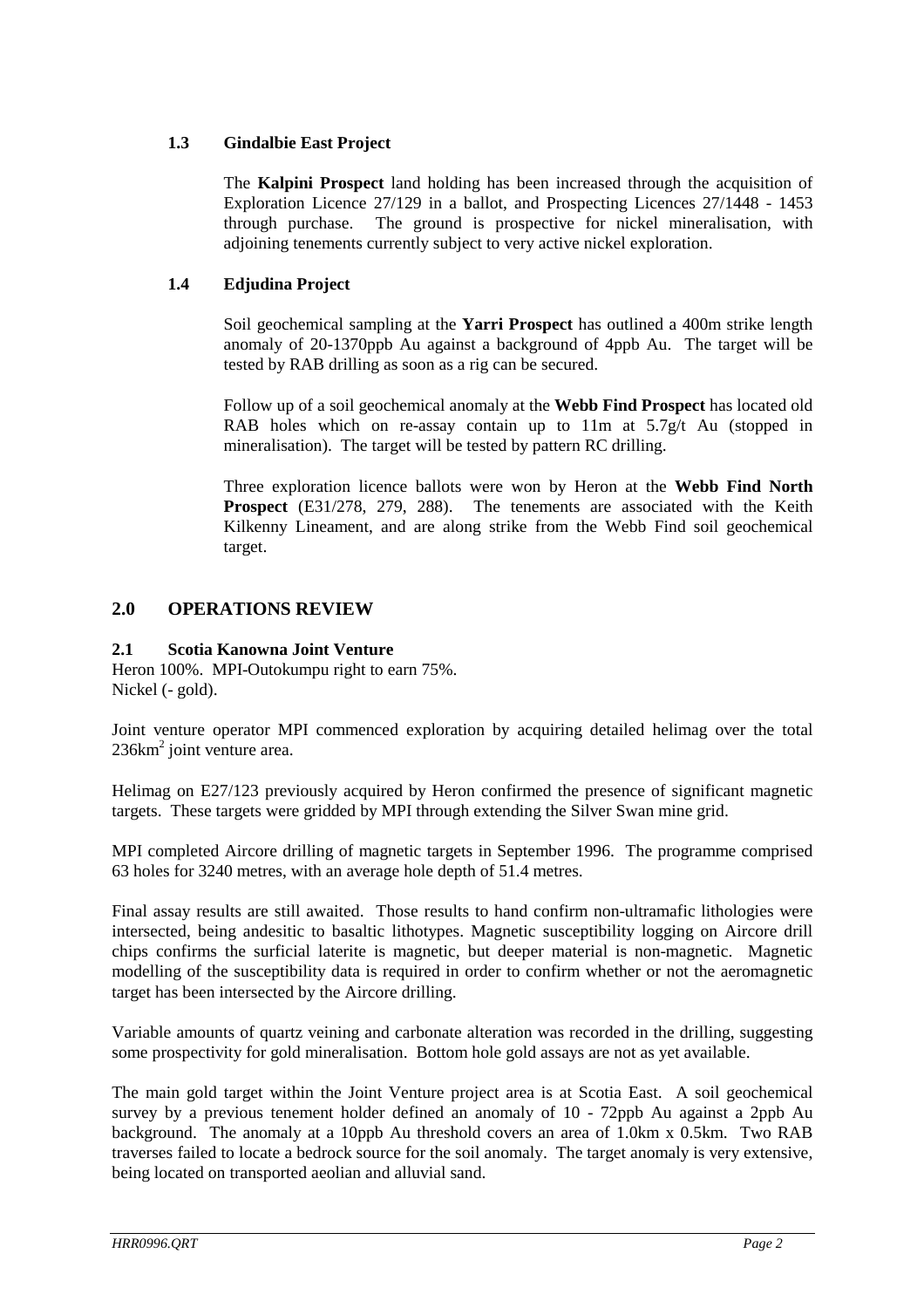# **1.3 Gindalbie East Project**

The **Kalpini Prospect** land holding has been increased through the acquisition of Exploration Licence 27/129 in a ballot, and Prospecting Licences 27/1448 - 1453 through purchase. The ground is prospective for nickel mineralisation, with adjoining tenements currently subject to very active nickel exploration.

# **1.4 Edjudina Project**

Soil geochemical sampling at the **Yarri Prospect** has outlined a 400m strike length anomaly of 20-1370ppb Au against a background of 4ppb Au. The target will be tested by RAB drilling as soon as a rig can be secured.

Follow up of a soil geochemical anomaly at the **Webb Find Prospect** has located old RAB holes which on re-assay contain up to 11m at 5.7g/t Au (stopped in mineralisation). The target will be tested by pattern RC drilling.

Three exploration licence ballots were won by Heron at the **Webb Find North Prospect** (E31/278, 279, 288). The tenements are associated with the Keith Kilkenny Lineament, and are along strike from the Webb Find soil geochemical target.

# **2.0 OPERATIONS REVIEW**

# **2.1 Scotia Kanowna Joint Venture**

Heron 100%. MPI-Outokumpu right to earn 75%. Nickel (- gold).

Joint venture operator MPI commenced exploration by acquiring detailed helimag over the total  $236 \text{km}^2$  joint venture area.

Helimag on E27/123 previously acquired by Heron confirmed the presence of significant magnetic targets. These targets were gridded by MPI through extending the Silver Swan mine grid.

MPI completed Aircore drilling of magnetic targets in September 1996. The programme comprised 63 holes for 3240 metres, with an average hole depth of 51.4 metres.

Final assay results are still awaited. Those results to hand confirm non-ultramafic lithologies were intersected, being andesitic to basaltic lithotypes. Magnetic susceptibility logging on Aircore drill chips confirms the surficial laterite is magnetic, but deeper material is non-magnetic. Magnetic modelling of the susceptibility data is required in order to confirm whether or not the aeromagnetic target has been intersected by the Aircore drilling.

Variable amounts of quartz veining and carbonate alteration was recorded in the drilling, suggesting some prospectivity for gold mineralisation. Bottom hole gold assays are not as yet available.

The main gold target within the Joint Venture project area is at Scotia East. A soil geochemical survey by a previous tenement holder defined an anomaly of 10 - 72ppb Au against a 2ppb Au background. The anomaly at a 10ppb Au threshold covers an area of 1.0km x 0.5km. Two RAB traverses failed to locate a bedrock source for the soil anomaly. The target anomaly is very extensive, being located on transported aeolian and alluvial sand.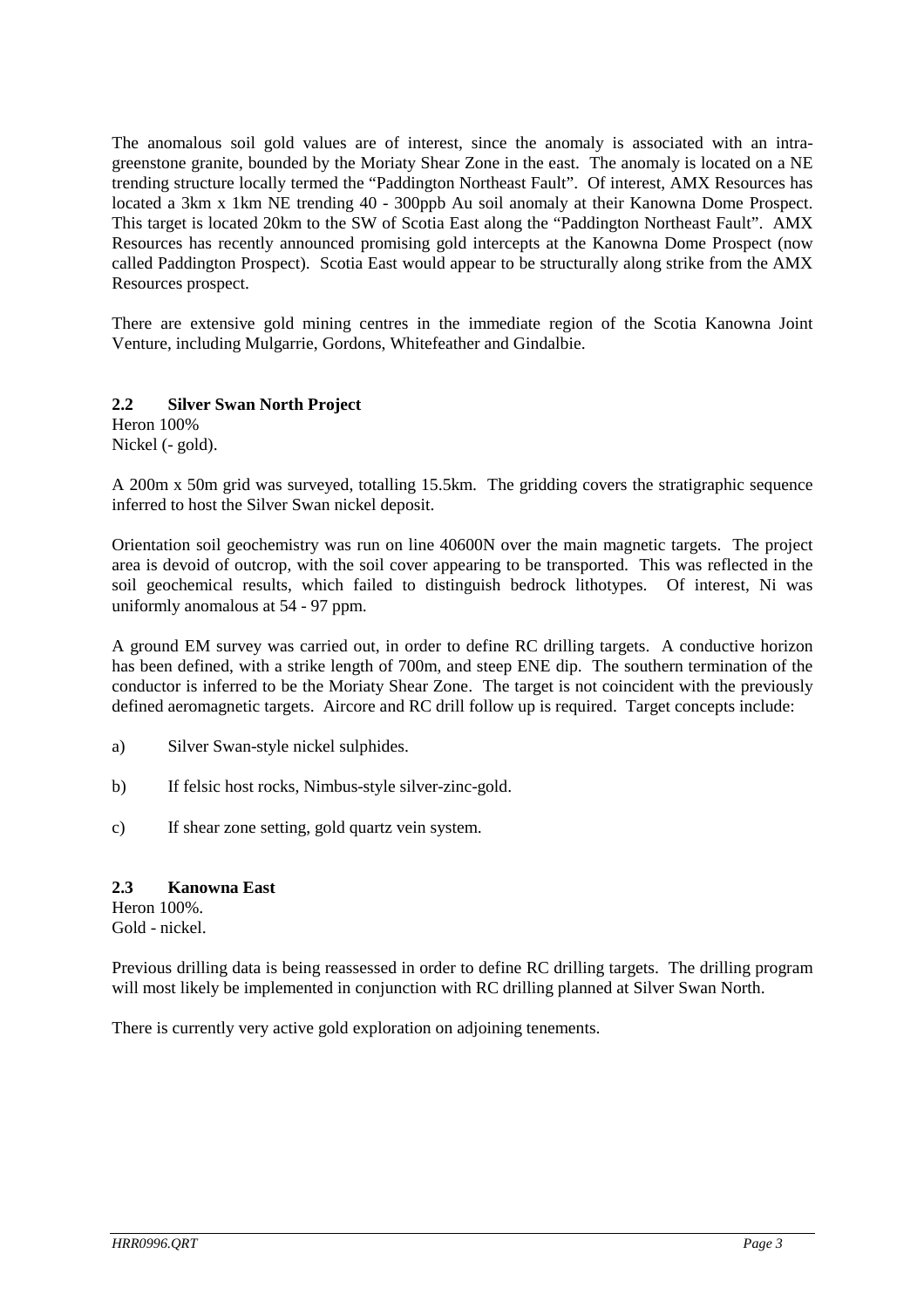The anomalous soil gold values are of interest, since the anomaly is associated with an intragreenstone granite, bounded by the Moriaty Shear Zone in the east. The anomaly is located on a NE trending structure locally termed the "Paddington Northeast Fault". Of interest, AMX Resources has located a 3km x 1km NE trending 40 - 300ppb Au soil anomaly at their Kanowna Dome Prospect. This target is located 20km to the SW of Scotia East along the "Paddington Northeast Fault". AMX Resources has recently announced promising gold intercepts at the Kanowna Dome Prospect (now called Paddington Prospect). Scotia East would appear to be structurally along strike from the AMX Resources prospect.

There are extensive gold mining centres in the immediate region of the Scotia Kanowna Joint Venture, including Mulgarrie, Gordons, Whitefeather and Gindalbie.

## **2.2 Silver Swan North Project**

Heron 100% Nickel (- gold).

A 200m x 50m grid was surveyed, totalling 15.5km. The gridding covers the stratigraphic sequence inferred to host the Silver Swan nickel deposit.

Orientation soil geochemistry was run on line 40600N over the main magnetic targets. The project area is devoid of outcrop, with the soil cover appearing to be transported. This was reflected in the soil geochemical results, which failed to distinguish bedrock lithotypes. Of interest, Ni was uniformly anomalous at 54 - 97 ppm.

A ground EM survey was carried out, in order to define RC drilling targets. A conductive horizon has been defined, with a strike length of 700m, and steep ENE dip. The southern termination of the conductor is inferred to be the Moriaty Shear Zone. The target is not coincident with the previously defined aeromagnetic targets. Aircore and RC drill follow up is required. Target concepts include:

- a) Silver Swan-style nickel sulphides.
- b) If felsic host rocks, Nimbus-style silver-zinc-gold.
- c) If shear zone setting, gold quartz vein system.

## **2.3 Kanowna East**

Heron 100%. Gold - nickel.

Previous drilling data is being reassessed in order to define RC drilling targets. The drilling program will most likely be implemented in conjunction with RC drilling planned at Silver Swan North.

There is currently very active gold exploration on adjoining tenements.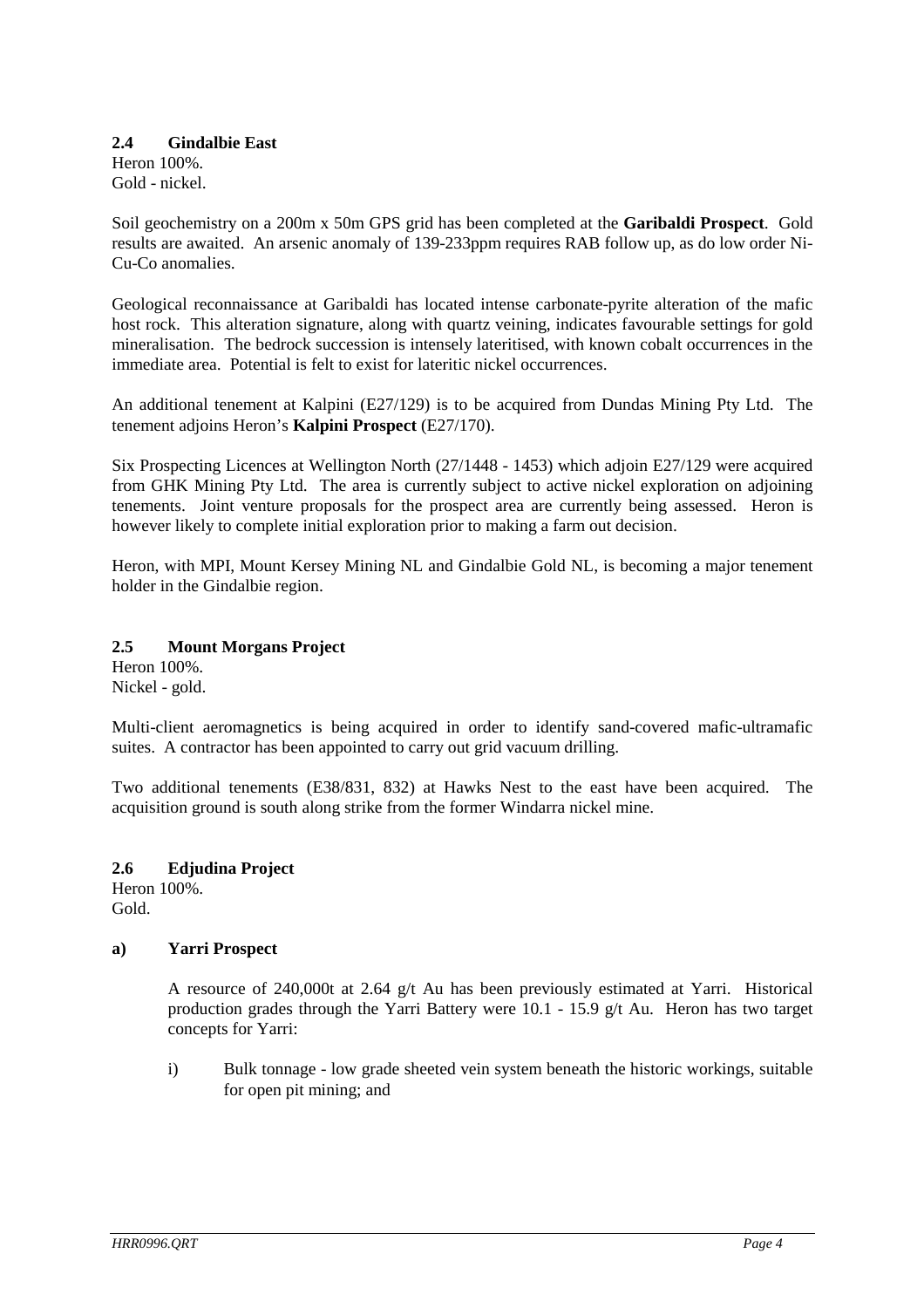#### **2.4 Gindalbie East** Heron 100%.

Gold - nickel.

Soil geochemistry on a 200m x 50m GPS grid has been completed at the **Garibaldi Prospect**. Gold results are awaited. An arsenic anomaly of 139-233ppm requires RAB follow up, as do low order Ni-Cu-Co anomalies.

Geological reconnaissance at Garibaldi has located intense carbonate-pyrite alteration of the mafic host rock. This alteration signature, along with quartz veining, indicates favourable settings for gold mineralisation. The bedrock succession is intensely lateritised, with known cobalt occurrences in the immediate area. Potential is felt to exist for lateritic nickel occurrences.

An additional tenement at Kalpini (E27/129) is to be acquired from Dundas Mining Pty Ltd. The tenement adjoins Heron's **Kalpini Prospect** (E27/170).

Six Prospecting Licences at Wellington North (27/1448 - 1453) which adjoin E27/129 were acquired from GHK Mining Pty Ltd. The area is currently subject to active nickel exploration on adjoining tenements. Joint venture proposals for the prospect area are currently being assessed. Heron is however likely to complete initial exploration prior to making a farm out decision.

Heron, with MPI, Mount Kersey Mining NL and Gindalbie Gold NL, is becoming a major tenement holder in the Gindalbie region.

# **2.5 Mount Morgans Project**

Heron 100%. Nickel - gold.

Multi-client aeromagnetics is being acquired in order to identify sand-covered mafic-ultramafic suites. A contractor has been appointed to carry out grid vacuum drilling.

Two additional tenements (E38/831, 832) at Hawks Nest to the east have been acquired. The acquisition ground is south along strike from the former Windarra nickel mine.

**2.6 Edjudina Project** Heron 100%. Gold.

## **a) Yarri Prospect**

A resource of 240,000t at 2.64  $g/t$  Au has been previously estimated at Yarri. Historical production grades through the Yarri Battery were 10.1 - 15.9 g/t Au. Heron has two target concepts for Yarri:

 i) Bulk tonnage - low grade sheeted vein system beneath the historic workings, suitable for open pit mining; and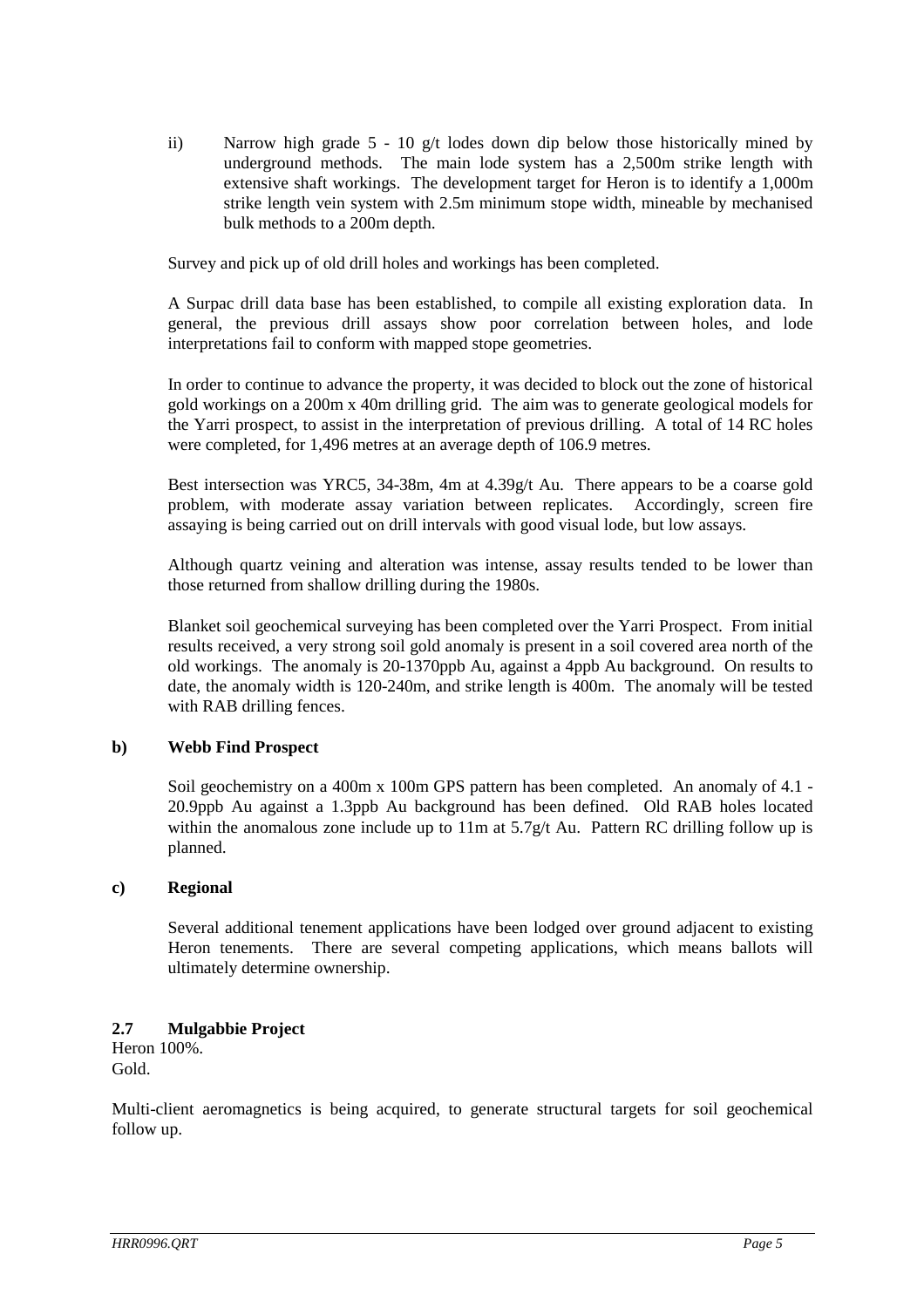ii) Narrow high grade  $5 - 10$  g/t lodes down dip below those historically mined by underground methods. The main lode system has a 2,500m strike length with extensive shaft workings. The development target for Heron is to identify a 1,000m strike length vein system with 2.5m minimum stope width, mineable by mechanised bulk methods to a 200m depth.

Survey and pick up of old drill holes and workings has been completed.

A Surpac drill data base has been established, to compile all existing exploration data. In general, the previous drill assays show poor correlation between holes, and lode interpretations fail to conform with mapped stope geometries.

In order to continue to advance the property, it was decided to block out the zone of historical gold workings on a 200m x 40m drilling grid. The aim was to generate geological models for the Yarri prospect, to assist in the interpretation of previous drilling. A total of 14 RC holes were completed, for 1,496 metres at an average depth of 106.9 metres.

Best intersection was YRC5, 34-38m, 4m at 4.39g/t Au. There appears to be a coarse gold problem, with moderate assay variation between replicates. Accordingly, screen fire assaying is being carried out on drill intervals with good visual lode, but low assays.

Although quartz veining and alteration was intense, assay results tended to be lower than those returned from shallow drilling during the 1980s.

Blanket soil geochemical surveying has been completed over the Yarri Prospect. From initial results received, a very strong soil gold anomaly is present in a soil covered area north of the old workings. The anomaly is 20-1370ppb Au, against a 4ppb Au background. On results to date, the anomaly width is 120-240m, and strike length is 400m. The anomaly will be tested with RAB drilling fences.

## **b) Webb Find Prospect**

Soil geochemistry on a 400m x 100m GPS pattern has been completed. An anomaly of 4.1 - 20.9ppb Au against a 1.3ppb Au background has been defined. Old RAB holes located within the anomalous zone include up to  $11m$  at  $5.7g/t$  Au. Pattern RC drilling follow up is planned.

## **c) Regional**

Several additional tenement applications have been lodged over ground adjacent to existing Heron tenements. There are several competing applications, which means ballots will ultimately determine ownership.

## **2.7 Mulgabbie Project**

Heron 100%. Gold.

Multi-client aeromagnetics is being acquired, to generate structural targets for soil geochemical follow up.